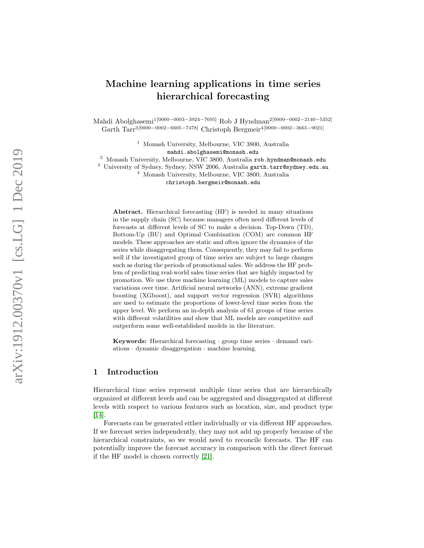# Machine learning applications in time series hierarchical forecasting

Mahdi Abolghasemi<sup>1[0000–0003–3924–7695]</sup> Rob J Hyndman<sup>2[0000–0002–2140–5352]</sup> Garth Tarr<sup>3[0000–0002–6605–7478]</sup> Christoph Bergmeir<sup>4[0000–0002–3665–9021]</sup>

> <sup>1</sup> Monash University, Melbourne, VIC 3800, Australia mahdi.abolghasemi@monash.edu

<sup>2</sup> Monash University, Melbourne, VIC 3800, Australia rob.hyndman@monash.edu

 $3$  University of Sydney, Sydney, NSW 2006, Australia garth.tarr@sydney.edu.au

<sup>4</sup> Monash University, Melbourne, VIC 3800, Australia christoph.bergmeir@monash.edu

Abstract. Hierarchical forecasting (HF) is needed in many situations in the supply chain (SC) because managers often need different levels of forecasts at different levels of SC to make a decision. Top-Down (TD), Bottom-Up (BU) and Optimal Combination (COM) are common HF models. These approaches are static and often ignore the dynamics of the series while disaggregating them. Consequently, they may fail to perform well if the investigated group of time series are subject to large changes such as during the periods of promotional sales. We address the HF problem of predicting real-world sales time series that are highly impacted by promotion. We use three machine learning (ML) models to capture sales variations over time. Artificial neural networks (ANN), extreme gradient boosting (XGboost), and support vector regression (SVR) algorithms are used to estimate the proportions of lower-level time series from the upper level. We perform an in-depth analysis of 61 groups of time series with different volatilities and show that ML models are competitive and outperform some well-established models in the literature.

Keywords: Hierarchical forecasting · group time series · demand variations · dynamic disaggregation · machine learning.

# 1 Introduction

Hierarchical time series represent multiple time series that are hierarchically organized at different levels and can be aggregated and disaggregated at different levels with respect to various features such as location, size, and product type [\[14\]](#page-10-0).

Forecasts can be generated either individually or via different HF approaches. If we forecast series independently, they may not add up properly because of the hierarchical constraints, so we would need to reconcile forecasts. The HF can potentially improve the forecast accuracy in comparison with the direct forecast if the HF model is chosen correctly [\[21\]](#page-11-0).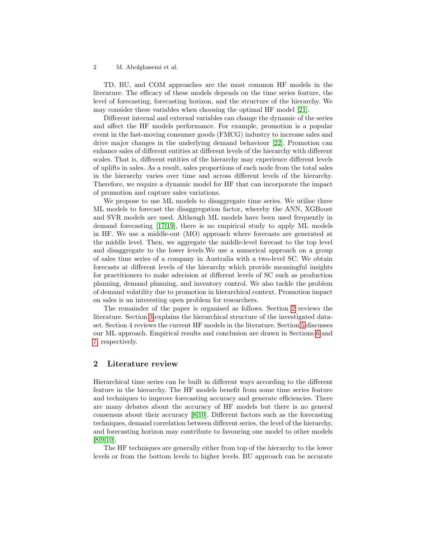TD, BU, and COM approaches are the most common HF models in the literature. The efficacy of these models depends on the time series feature, the level of forecasting, forecasting horizon, and the structure of the hierarchy. We may consider these variables when choosing the optimal HF model [\[21\]](#page-11-0).

Different internal and external variables can change the dynamic of the series and affect the HF models performance. For example, promotion is a popular event in the fast-moving consumer goods (FMCG) industry to increase sales and drive major changes in the underlying demand behaviour [\[22\]](#page-11-1). Promotion can enhance sales of different entities at different levels of the hierarchy with different scales. That is, different entities of the hierarchy may experience different levels of uplifts in sales. As a result, sales proportions of each node from the total sales in the hierarchy varies over time and across different levels of the hierarchy. Therefore, we require a dynamic model for HF that can incorporate the impact of promotion and capture sales variations.

We propose to use ML models to disaggregate time series. We utilise three ML models to forecast the disaggregation factor, whereby the ANN, XGBoost and SVR models are used. Although ML models have been used frequently in demand forecasting [\[17,](#page-11-2)[19\]](#page-11-3), there is no empirical study to apply ML models in HF. We use a middle-out (MO) approach where forecasts are generated at the middle level. Then, we aggregate the middle-level forecast to the top level and disaggregate to the lower levels.We use a numerical approach on a group of sales time series of a company in Australia with a two-level SC. We obtain forecasts at different levels of the hierarchy which provide meaningful insights for practitioners to make adecision at different levels of SC such as production planning, demand planning, and inventory control. We also tackle the problem of demand volatility due to promotion in hierarchical context. Promotion impact on sales is an interesting open problem for researchers.

The remainder of the paper is organised as follows. Section [2](#page-1-0) reviews the literature. Section [3](#page-3-0) explains the hierarchical structure of the investigated dataset. Section 4 reviews the current HF models in the literature. Section [5](#page-5-0) discusses our ML approach. Empirical results and conclusion are drawn in Sections [6](#page-7-0) and [7,](#page-9-0) respectively.

# <span id="page-1-0"></span>2 Literature review

Hierarchical time series can be built in different ways according to the different feature in the hierarchy. The HF models benefit from some time series feature and techniques to improve forecasting accuracy and generate efficiencies. There are many debates about the accuracy of HF models but there is no general consensus about their accuracy [\[8,](#page-10-1)[10\]](#page-10-2). Different factors such as the forecasting techniques, demand correlation between different series, the level of the hierarchy, and forecasting horizon may contribute to favouring one model to other models [\[8,](#page-10-1)[9](#page-10-3)[,10\]](#page-10-2).

The HF techniques are generally either from top of the hierarchy to the lower levels or from the bottom levels to higher levels. BU approach can be accurate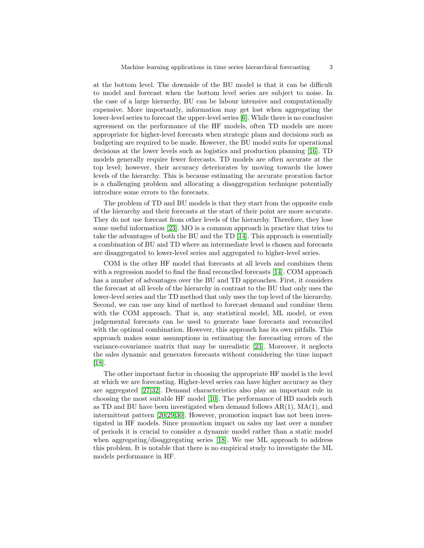at the bottom level. The downside of the BU model is that it can be difficult to model and forecast when the bottom level series are subject to noise. In the case of a large hierarchy, BU can be labour intensive and computationally expensive. More importantly, information may get lost when aggregating the lower-level series to forecast the upper-level series [\[6\]](#page-10-4). While there is no conclusive agreement on the performance of the HF models, often TD models are more appropriate for higher-level forecasts when strategic plans and decisions such as budgeting are required to be made. However, the BU model suits for operational decisions at the lower levels such as logistics and production planning [\[16\]](#page-10-5). TD models generally require fewer forecasts. TD models are often accurate at the top level; however, their accuracy deteriorates by moving towards the lower levels of the hierarchy. This is because estimating the accurate proration factor is a challenging problem and allocating a disaggregation technique potentially introduce some errors to the forecasts.

The problem of TD and BU models is that they start from the opposite ends of the hierarchy and their forecasts at the start of their point are more accurate. They do not use forecast from other levels of the hierarchy. Therefore, they lose some useful information [\[23\]](#page-11-4). MO is a common approach in practice that tries to take the advantages of both the BU and the TD [\[14\]](#page-10-0). This approach is essentially a combination of BU and TD where an intermediate level is chosen and forecasts are disaggregated to lower-level series and aggregated to higher-level series.

COM is the other HF model that forecasts at all levels and combines them with a regression model to find the final reconciled forecasts [\[14\]](#page-10-0). COM approach has a number of advantages over the BU and TD approaches. First, it considers the forecast at all levels of the hierarchy in contrast to the BU that only uses the lower-level series and the TD method that only uses the top level of the hierarchy. Second, we can use any kind of method to forecast demand and combine them with the COM approach. That is, any statistical model, ML model, or even judgemental forecasts can be used to generate base forecasts and reconciled with the optimal combination. However, this approach has its own pitfalls. This approach makes some assumptions in estimating the forecasting errors of the variance-covariance matrix that may be unrealistic [\[23\]](#page-11-4). Moreover, it neglects the sales dynamic and generates forecasts without considering the time impact [\[18\]](#page-11-5).

The other important factor in choosing the appropriate HF model is the level at which we are forecasting. Higher-level series can have higher accuracy as they are aggregated [\[27](#page-11-6)[,32\]](#page-11-7). Demand characteristics also play an important role in choosing the most suitable HF model [\[10\]](#page-10-2). The performance of HD models such as TD and BU have been investigated when demand follows  $AR(1)$ ,  $MA(1)$ , and intermittent pattern [\[20,](#page-11-8)[29](#page-11-9)[,30\]](#page-11-10). However, promotion impact has not been investigated in HF models. Since promotion impact on sales my last over a number of periods it is crucial to consider a dynamic model rather than a static model when aggregating/disaggregating series [\[18\]](#page-11-5). We use ML approach to address this problem. It is notable that there is no empirical study to investigate the ML models performance in HF.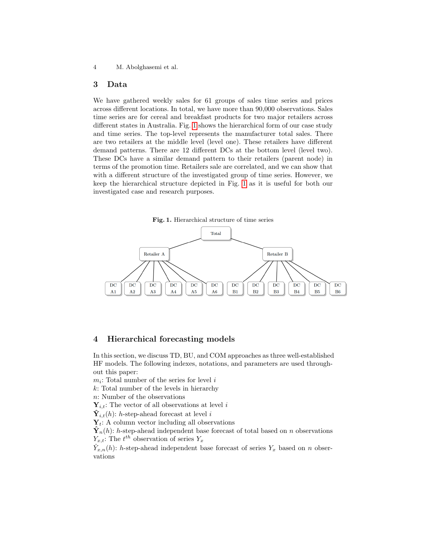# <span id="page-3-0"></span>3 Data

We have gathered weekly sales for 61 groups of sales time series and prices across different locations. In total, we have more than 90,000 observations. Sales time series are for cereal and breakfast products for two major retailers across different states in Australia. Fig. [1](#page-3-1) shows the hierarchical form of our case study and time series. The top-level represents the manufacturer total sales. There are two retailers at the middle level (level one). These retailers have different demand patterns. There are 12 different DCs at the bottom level (level two). These DCs have a similar demand pattern to their retailers (parent node) in terms of the promotion time. Retailers sale are correlated, and we can show that with a different structure of the investigated group of time series. However, we keep the hierarchical structure depicted in Fig. [1](#page-3-1) as it is useful for both our investigated case and research purposes.

<span id="page-3-1"></span>Fig. 1. Hierarchical structure of time series



## 4 Hierarchical forecasting models

In this section, we discuss TD, BU, and COM approaches as three well-established HF models. The following indexes, notations, and parameters are used throughout this paper:

 $m_i$ : Total number of the series for level i

k: Total number of the levels in hierarchy

n: Number of the observations

 $Y_{i,t}$ : The vector of all observations at level i

 $\hat{\mathbf{Y}}_{i,t}(h)$ : h-step-ahead forecast at level i

 $Y_t$ : A column vector including all observations

 $\mathbf{\hat{Y}}_n(h)$ : h-step-ahead independent base forecast of total based on n observations  $Y_{x,t}$ : The  $t^{th}$  observation of series  $Y_x$ 

 $\hat{Y}_{x,n}(h)$ : h-step-ahead independent base forecast of series  $Y_x$  based on n observations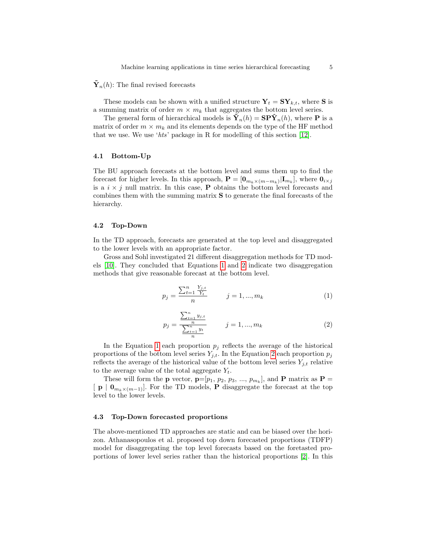## $\mathbf{Y}_n(h)$ : The final revised forecasts

These models can be shown with a unified structure  $Y_t = SY_{k,t}$ , where S is a summing matrix of order  $m \times m_k$  that aggregates the bottom level series.

The general form of hierarchical models is  $\mathbf{\tilde{Y}}_n(h) = \mathbf{SP} \mathbf{\tilde{Y}}_n(h)$ , where **P** is a matrix of order  $m \times m_k$  and its elements depends on the type of the HF method that we use. We use 'hts' package in R for modelling of this section [\[12\]](#page-10-6).

#### 4.1 Bottom-Up

The BU approach forecasts at the bottom level and sums them up to find the forecast for higher levels. In this approach,  $\mathbf{P} = [\mathbf{0}_{m_k \times (m-m_k)} | \mathbf{I}_{m_k}]$ , where  $\mathbf{0}_{i \times j}$ is a  $i \times j$  null matrix. In this case, **P** obtains the bottom level forecasts and combines them with the summing matrix S to generate the final forecasts of the hierarchy.

#### 4.2 Top-Down

In the TD approach, forecasts are generated at the top level and disaggregated to the lower levels with an appropriate factor.

Gross and Sohl investigated 21 different disaggregation methods for TD models [\[10\]](#page-10-2). They concluded that Equations [1](#page-4-0) and [2](#page-4-1) indicate two disaggregation methods that give reasonable forecast at the bottom level.

<span id="page-4-0"></span>
$$
p_j = \frac{\sum_{t=1}^n \frac{Y_{j,t}}{Y_t}}{n} \qquad j = 1, ..., m_k
$$
 (1)

<span id="page-4-1"></span>
$$
p_j = \frac{\sum_{t=1}^n y_{j,t}}{\sum_{t=1}^n y_t} \qquad j = 1, ..., m_k
$$
 (2)

In the Equation [1](#page-4-0) each proportion  $p_i$  reflects the average of the historical proportions of the bottom level series  $Y_{i,t}$ . In the Equation [2](#page-4-1) each proportion  $p_j$ reflects the average of the historical value of the bottom level series  $Y_{j,t}$  relative to the average value of the total aggregate  $Y_t$ .

These will form the **p** vector,  $\mathbf{p}=[p_1, p_2, p_3, ..., p_{m_k}]$ , and **P** matrix as  $\mathbf{P} =$  $\mathbf{p} \mid \mathbf{0}_{m_k \times (m-1)}$ . For the TD models, P disaggregate the forecast at the top level to the lower levels.

#### 4.3 Top-Down forecasted proportions

The above-mentioned TD approaches are static and can be biased over the horizon. Athanasopoulos et al. proposed top down forecasted proportions (TDFP) model for disaggregating the top level forecasts based on the foretasted proportions of lower level series rather than the historical proportions [\[2\]](#page-10-7). In this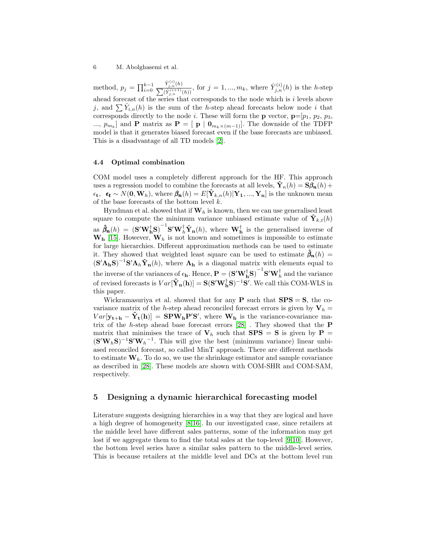method,  $p_j = \prod_{i=0}^{k-1}$  $\hat{Y}_{j,n}^{(i)}(h)$  $\frac{Y_{j,n}^{(s)}(h)}{\sum(\hat{Y}_{j,n}^{(i+1)}(h))}$ , for  $j = 1, ..., m_k$ , where  $\hat{Y}_{j,n}^{(i)}(h)$  is the h-step ahead forecast of the series that corresponds to the node which is  $i$  levels above j, and  $\sum \hat{Y}_{i,n}(h)$  is the sum of the h-step ahead forecasts below node i that corresponds directly to the node *i*. These will form the **p** vector,  $\mathbf{p}=[p_1, p_2, p_3,$ ...,  $p_{m_k}$  and **P** matrix as **P** = [**p** | **0**<sub>*m*<sup>k</sup>  $\times$ (*m*−1)</sub>. The downside of the TDFP model is that it generates biased forecast even if the base forecasts are unbiased. This is a disadvantage of all TD models [\[2\]](#page-10-7).

#### 4.4 Optimal combination

COM model uses a completely different approach for the HF. This approach uses a regression model to combine the forecasts at all levels,  $\mathbf{Y}_n(h) = \mathbf{S} \boldsymbol{\beta}_n(h) +$  $\epsilon_t$ ,  $\epsilon_t \sim N(0, \mathbf{W}_h)$ , where  $\beta_n(h) = E[\hat{\mathbf{Y}}_{k,n}(h) | \mathbf{Y}_1, ..., \mathbf{Y}_n]$  is the unknown mean of the base forecasts of the bottom level  $k$ .

Hyndman et al. showed that if  $W_h$  is known, then we can use generalised least square to compute the minimum variance unbiased estimate value of  $\mathbf{Y}_{k,t}(h)$ as  $\hat{\beta}_n(h) = (S'W_h^{\dagger}S)^{-1}S'W_h^{\dagger}\hat{Y}_n(h)$ , where  $W_h^{\dagger}$  is the generalised inverse of  $\mathbf{W}_{h}$  [\[15\]](#page-10-8). However,  $\mathbf{W}_{h}$  is not known and sometimes is impossible to estimate for large hierarchies. Different approximation methods can be used to estimate it. They showed that weighted least square can be used to estimate  $\hat{\beta}_n(h)$  =  $(S'\Lambda_h S)^{-1}S'\Lambda_h\hat{Y}_n(h)$ , where  $\Lambda_h$  is a diagonal matrix with elements equal to the inverse of the variances of  $\epsilon_h$ . Hence,  $\mathbf{P} = (\mathbf{S}'\mathbf{W}_h^{\dagger} \mathbf{S})^{-1} \mathbf{S}' \mathbf{W}_h^{\dagger}$  and the variance of revised forecasts is  $Var[\tilde{\mathbf{Y}}_n(\mathbf{h})] = \mathbf{S}(\mathbf{S}'\mathbf{W}_h^{\dagger} \mathbf{S})^{-1} \mathbf{S}'$ . We call this COM-WLS in this paper.

Wickramasuriya et al. showed that for any  $P$  such that  $SPS = S$ , the covariance matrix of the h-step ahead reconciled forecast errors is given by  $V_h =$  $Var[\mathbf{y_{t+h}} - \tilde{\mathbf{Y}}_t(\mathbf{h})] = \mathbf{SPW_hP'S'}$ , where  $\mathbf{W_h}$  is the variance-covariance matrix of the h-step ahead base forecast errors  $[28]$  . They showed that the  $P$ matrix that minimises the trace of  $V_h$  such that **SPS** = **S** is given by **P** =  $({\bf S}'{\bf W}_h{\bf S})^{-1}{\bf S}'{\bf W}_h^{-1}$ . This will give the best (minimum variance) linear unbiased reconciled forecast, so called MinT approach. There are different methods to estimate  $W_h$ . To do so, we use the shrinkage estimator and sample covariance as described in [\[28\]](#page-11-11). These models are shown with COM-SHR and COM-SAM, respectively.

# <span id="page-5-0"></span>5 Designing a dynamic hierarchical forecasting model

Literature suggests designing hierarchies in a way that they are logical and have a high degree of homogeneity [\[8](#page-10-1)[,16\]](#page-10-5). In our investigated case, since retailers at the middle level have different sales patterns, some of the information may get lost if we aggregate them to find the total sales at the top-level [\[9,](#page-10-3)[10\]](#page-10-2). However, the bottom level series have a similar sales pattern to the middle-level series. This is because retailers at the middle level and DCs at the bottom level run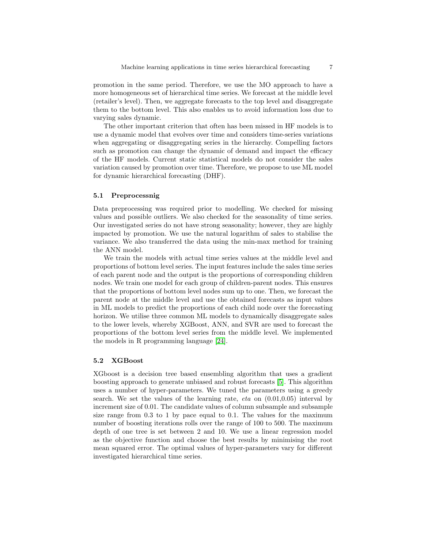promotion in the same period. Therefore, we use the MO approach to have a more homogeneous set of hierarchical time series. We forecast at the middle level (retailer's level). Then, we aggregate forecasts to the top level and disaggregate them to the bottom level. This also enables us to avoid information loss due to varying sales dynamic.

The other important criterion that often has been missed in HF models is to use a dynamic model that evolves over time and considers time-series variations when aggregating or disaggregating series in the hierarchy. Compelling factors such as promotion can change the dynamic of demand and impact the efficacy of the HF models. Current static statistical models do not consider the sales variation caused by promotion over time. Therefore, we propose to use ML model for dynamic hierarchical forecasting (DHF).

## 5.1 Preprocessnig

Data preprocessing was required prior to modelling. We checked for missing values and possible outliers. We also checked for the seasonality of time series. Our investigated series do not have strong seasonality; however, they are highly impacted by promotion. We use the natural logarithm of sales to stabilise the variance. We also transferred the data using the min-max method for training the ANN model.

We train the models with actual time series values at the middle level and proportions of bottom level series. The input features include the sales time series of each parent node and the output is the proportions of corresponding children nodes. We train one model for each group of children-parent nodes. This ensures that the proportions of bottom level nodes sum up to one. Then, we forecast the parent node at the middle level and use the obtained forecasts as input values in ML models to predict the proportions of each child node over the forecasting horizon. We utilise three common ML models to dynamically disaggregate sales to the lower levels, whereby XGBoost, ANN, and SVR are used to forecast the proportions of the bottom level series from the middle level. We implemented the models in R programming language [\[24\]](#page-11-12).

## 5.2 XGBoost

XGboost is a decision tree based ensembling algorithm that uses a gradient boosting approach to generate unbiased and robust forecasts [\[5\]](#page-10-9). This algorithm uses a number of hyper-parameters. We tuned the parameters using a greedy search. We set the values of the learning rate,  $eta$  on  $(0.01,0.05)$  interval by increment size of 0.01. The candidate values of column subsample and subsample size range from 0.3 to 1 by pace equal to 0.1. The values for the maximum number of boosting iterations rolls over the range of 100 to 500. The maximum depth of one tree is set between 2 and 10. We use a linear regression model as the objective function and choose the best results by minimising the root mean squared error. The optimal values of hyper-parameters vary for different investigated hierarchical time series.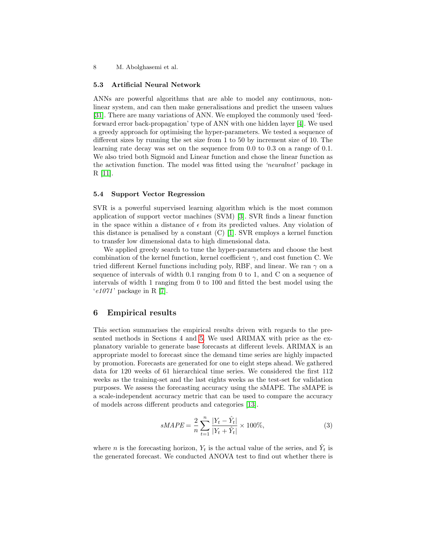## 5.3 Artificial Neural Network

ANNs are powerful algorithms that are able to model any continuous, nonlinear system, and can then make generalisations and predict the unseen values [\[31\]](#page-11-13). There are many variations of ANN. We employed the commonly used 'feedforward error back-propagation' type of ANN with one hidden layer [\[4\]](#page-10-10). We used a greedy approach for optimising the hyper-parameters. We tested a sequence of different sizes by running the set size from 1 to 50 by increment size of 10. The learning rate decay was set on the sequence from 0.0 to 0.3 on a range of 0.1. We also tried both Sigmoid and Linear function and chose the linear function as the activation function. The model was fitted using the 'neuralnet' package in R [\[11\]](#page-10-11).

## 5.4 Support Vector Regression

SVR is a powerful supervised learning algorithm which is the most common application of support vector machines (SVM) [\[3\]](#page-10-12). SVR finds a linear function in the space within a distance of  $\epsilon$  from its predicted values. Any violation of this distance is penalised by a constant  $(C)$  [\[1\]](#page-10-13). SVR employs a kernel function to transfer low dimensional data to high dimensional data.

We applied greedy search to tune the hyper-parameters and choose the best combination of the kernel function, kernel coefficient  $\gamma$ , and cost function C. We tried different Kernel functions including poly, RBF, and linear. We ran  $\gamma$  on a sequence of intervals of width 0.1 ranging from 0 to 1, and C on a sequence of intervals of width 1 ranging from 0 to 100 and fitted the best model using the  $'e1071'$  package in R [\[7\]](#page-10-14).

# <span id="page-7-0"></span>6 Empirical results

This section summarises the empirical results driven with regards to the presented methods in Sections 4 and [5.](#page-5-0) We used ARIMAX with price as the explanatory variable to generate base forecasts at different levels. ARIMAX is an appropriate model to forecast since the demand time series are highly impacted by promotion. Forecasts are generated for one to eight steps ahead. We gathered data for 120 weeks of 61 hierarchical time series. We considered the first 112 weeks as the training-set and the last eights weeks as the test-set for validation purposes. We assess the forecasting accuracy using the sMAPE. The sMAPE is a scale-independent accuracy metric that can be used to compare the accuracy of models across different products and categories [\[13\]](#page-10-15).

$$
sMAPE = \frac{2}{n} \sum_{t=1}^{n} \frac{|Y_t - \hat{Y}_t|}{|Y_t + \hat{Y}_t|} \times 100\%,\tag{3}
$$

where *n* is the forecasting horizon,  $Y_t$  is the actual value of the series, and  $\hat{Y}_t$  is the generated forecast. We conducted ANOVA test to find out whether there is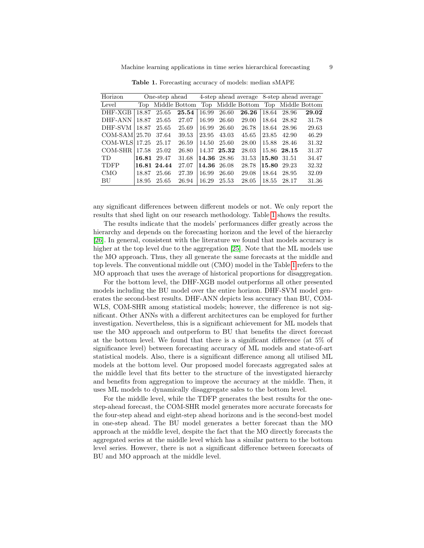| Horizon       |       |             |                   | One-step ahead 4-step ahead average 8-step ahead average |             |                   |       |             |                   |
|---------------|-------|-------------|-------------------|----------------------------------------------------------|-------------|-------------------|-------|-------------|-------------------|
| Level         |       |             | Top Middle Bottom |                                                          |             | Top Middle Bottom |       |             | Top Middle Bottom |
| DHF-XGB       | 18.87 | 25.65       | 25.54             | 16.99                                                    | 26.60       | 26.26             | 18.64 | 28.96       | 29.02             |
| DHF-ANN       | 18.87 | 25.65       | 27.07             | 16.99                                                    | 26.60       | 29.00             | 18.64 | 28.82       | 31.78             |
| DHF-SVM       | 18.87 | 25.65       | 25.69             | 16.99                                                    | 26.60       | 26.78             | 18.64 | 28.96       | 29.63             |
| COM-SAM 25.70 |       | 37.64       | 39.53             | 23.95                                                    | 43.03       | 45.65             | 23.85 | 42.90       | 46.29             |
| COM-WLS 17.25 |       | 25.17       | 26.59             | 14.50                                                    | 25.60       | 28.00             | 15.88 | 28.46       | 31.32             |
| COM-SHR       | 17.58 | 25.02       | 26.80             |                                                          | 14.37 25.32 | 28.03             |       | 15.86 28.15 | 31.37             |
| TD.           | 16.81 | 29.47       | 31.68             |                                                          | 14.36 28.86 | 31.53             |       | 15.80 31.51 | 34.47             |
| <b>TDFP</b>   |       | 16.81 24.44 | 27.07             | 14.36                                                    | -26.08      | 28.78             | 15.80 | 29.23       | 32.32             |
| <b>CMO</b>    | 18.87 | 25.66       | 27.39             | 16.99                                                    | 26.60       | 29.08             | 18.64 | 28.95       | 32.09             |
| <b>BU</b>     | 18.95 | 25.65       | 26.94             | 16.29                                                    | 25.53       | 28.05             | 18.55 | 28.17       | 31.36             |

<span id="page-8-0"></span>Table 1. Forecasting accuracy of models: median sMAPE

any significant differences between different models or not. We only report the results that shed light on our research methodology. Table [1](#page-8-0) shows the results.

The results indicate that the models' performances differ greatly across the hierarchy and depends on the forecasting horizon and the level of the hierarchy [\[26\]](#page-11-14). In general, consistent with the literature we found that models accuracy is higher at the top level due to the aggregation [\[25\]](#page-11-15). Note that the ML models use the MO approach. Thus, they all generate the same forecasts at the middle and top levels. The conventional middle out (CMO) model in the Table [1](#page-8-0) refers to the MO approach that uses the average of historical proportions for disaggregation.

For the bottom level, the DHF-XGB model outperforms all other presented models including the BU model over the entire horizon. DHF-SVM model generates the second-best results. DHF-ANN depicts less accuracy than BU, COM-WLS, COM-SHR among statistical models; however, the difference is not significant. Other ANNs with a different architectures can be employed for further investigation. Nevertheless, this is a significant achievement for ML models that use the MO approach and outperform to BU that benefits the direct forecast at the bottom level. We found that there is a significant difference (at 5% of significance level) between forecasting accuracy of ML models and state-of-art statistical models. Also, there is a significant difference among all utilised ML models at the bottom level. Our proposed model forecasts aggregated sales at the middle level that fits better to the structure of the investigated hierarchy and benefits from aggregation to improve the accuracy at the middle. Then, it uses ML models to dynamically disaggregate sales to the bottom level.

For the middle level, while the TDFP generates the best results for the onestep-ahead forecast, the COM-SHR model generates more accurate forecasts for the four-step ahead and eight-step ahead horizons and is the second-best model in one-step ahead. The BU model generates a better forecast than the MO approach at the middle level, despite the fact that the MO directly forecasts the aggregated series at the middle level which has a similar pattern to the bottom level series. However, there is not a significant difference between forecasts of BU and MO approach at the middle level.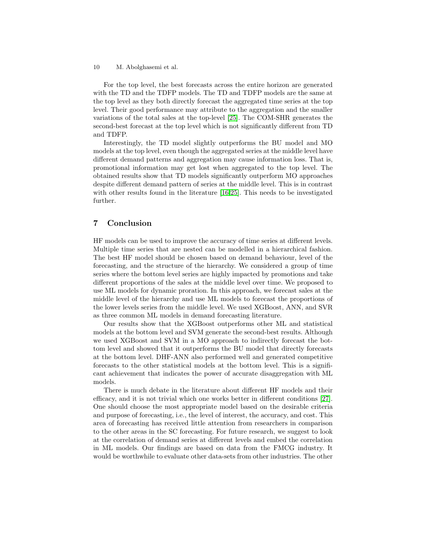For the top level, the best forecasts across the entire horizon are generated with the TD and the TDFP models. The TD and TDFP models are the same at the top level as they both directly forecast the aggregated time series at the top level. Their good performance may attribute to the aggregation and the smaller variations of the total sales at the top-level [\[25\]](#page-11-15). The COM-SHR generates the second-best forecast at the top level which is not significantly different from TD and TDFP.

Interestingly, the TD model slightly outperforms the BU model and MO models at the top level, even though the aggregated series at the middle level have different demand patterns and aggregation may cause information loss. That is, promotional information may get lost when aggregated to the top level. The obtained results show that TD models significantly outperform MO approaches despite different demand pattern of series at the middle level. This is in contrast with other results found in the literature [\[16,](#page-10-5)[25\]](#page-11-15). This needs to be investigated further.

# <span id="page-9-0"></span>7 Conclusion

HF models can be used to improve the accuracy of time series at different levels. Multiple time series that are nested can be modelled in a hierarchical fashion. The best HF model should be chosen based on demand behaviour, level of the forecasting, and the structure of the hierarchy. We considered a group of time series where the bottom level series are highly impacted by promotions and take different proportions of the sales at the middle level over time. We proposed to use ML models for dynamic proration. In this approach, we forecast sales at the middle level of the hierarchy and use ML models to forecast the proportions of the lower levels series from the middle level. We used XGBoost, ANN, and SVR as three common ML models in demand forecasting literature.

Our results show that the XGBoost outperforms other ML and statistical models at the bottom level and SVM generate the second-best results. Although we used XGBoost and SVM in a MO approach to indirectly forecast the bottom level and showed that it outperforms the BU model that directly forecasts at the bottom level. DHF-ANN also performed well and generated competitive forecasts to the other statistical models at the bottom level. This is a significant achievement that indicates the power of accurate disaggregation with ML models.

There is much debate in the literature about different HF models and their efficacy, and it is not trivial which one works better in different conditions [\[27\]](#page-11-6). One should choose the most appropriate model based on the desirable criteria and purpose of forecasting, i.e., the level of interest, the accuracy, and cost. This area of forecasting has received little attention from researchers in comparison to the other areas in the SC forecasting. For future research, we suggest to look at the correlation of demand series at different levels and embed the correlation in ML models. Our findings are based on data from the FMCG industry. It would be worthwhile to evaluate other data-sets from other industries. The other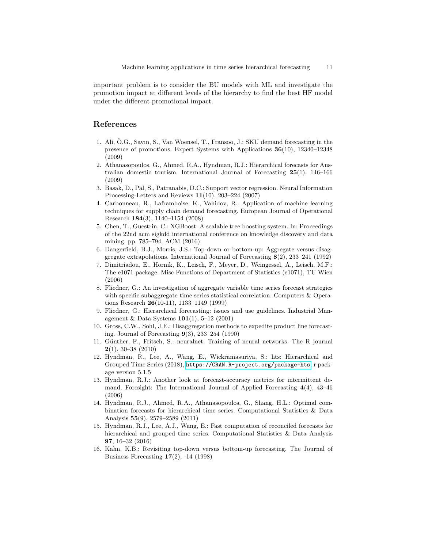important problem is to consider the BU models with ML and investigate the promotion impact at different levels of the hierarchy to find the best HF model under the different promotional impact.

# References

- <span id="page-10-13"></span>1. Ali, O.G., Sayın, S., Van Woensel, T., Fransoo, J.: SKU demand forecasting in the ¨ presence of promotions. Expert Systems with Applications 36(10), 12340–12348 (2009)
- <span id="page-10-7"></span>2. Athanasopoulos, G., Ahmed, R.A., Hyndman, R.J.: Hierarchical forecasts for Australian domestic tourism. International Journal of Forecasting 25(1), 146–166 (2009)
- <span id="page-10-12"></span>3. Basak, D., Pal, S., Patranabis, D.C.: Support vector regression. Neural Information Processing-Letters and Reviews 11(10), 203–224 (2007)
- <span id="page-10-10"></span>4. Carbonneau, R., Laframboise, K., Vahidov, R.: Application of machine learning techniques for supply chain demand forecasting. European Journal of Operational Research 184(3), 1140–1154 (2008)
- <span id="page-10-9"></span>5. Chen, T., Guestrin, C.: XGBoost: A scalable tree boosting system. In: Proceedings of the 22nd acm sigkdd international conference on knowledge discovery and data mining. pp. 785–794. ACM (2016)
- <span id="page-10-4"></span>6. Dangerfield, B.J., Morris, J.S.: Top-down or bottom-up: Aggregate versus disaggregate extrapolations. International Journal of Forecasting 8(2), 233–241 (1992)
- <span id="page-10-14"></span>7. Dimitriadou, E., Hornik, K., Leisch, F., Meyer, D., Weingessel, A., Leisch, M.F.: The e1071 package. Misc Functions of Department of Statistics (e1071), TU Wien (2006)
- <span id="page-10-1"></span>8. Fliedner, G.: An investigation of aggregate variable time series forecast strategies with specific subaggregate time series statistical correlation. Computers & Operations Research 26(10-11), 1133–1149 (1999)
- <span id="page-10-3"></span>9. Fliedner, G.: Hierarchical forecasting: issues and use guidelines. Industrial Management & Data Systems 101(1), 5–12 (2001)
- <span id="page-10-2"></span>10. Gross, C.W., Sohl, J.E.: Disaggregation methods to expedite product line forecasting. Journal of Forecasting  $9(3)$ , 233–254 (1990)
- <span id="page-10-11"></span>11. Günther, F., Fritsch, S.: neuralnet: Training of neural networks. The R journal  $2(1), 30-38 (2010)$
- <span id="page-10-6"></span>12. Hyndman, R., Lee, A., Wang, E., Wickramasuriya, S.: hts: Hierarchical and Grouped Time Series (2018), <https://CRAN.R-project.org/package=hts>, r package version 5.1.5
- <span id="page-10-15"></span>13. Hyndman, R.J.: Another look at forecast-accuracy metrics for intermittent demand. Foresight: The International Journal of Applied Forecasting  $4(4)$ ,  $43-46$ (2006)
- <span id="page-10-0"></span>14. Hyndman, R.J., Ahmed, R.A., Athanasopoulos, G., Shang, H.L.: Optimal combination forecasts for hierarchical time series. Computational Statistics & Data Analysis 55(9), 2579–2589 (2011)
- <span id="page-10-8"></span>15. Hyndman, R.J., Lee, A.J., Wang, E.: Fast computation of reconciled forecasts for hierarchical and grouped time series. Computational Statistics & Data Analysis 97, 16–32 (2016)
- <span id="page-10-5"></span>16. Kahn, K.B.: Revisiting top-down versus bottom-up forecasting. The Journal of Business Forecasting  $17(2)$ , 14 (1998)